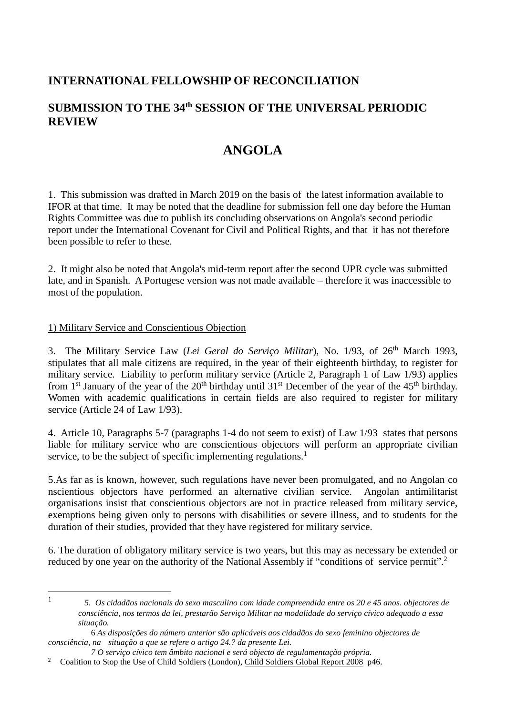## **INTERNATIONAL FELLOWSHIP OF RECONCILIATION**

# **SUBMISSION TO THE 34th SESSION OF THE UNIVERSAL PERIODIC REVIEW**

# **ANGOLA**

1. This submission was drafted in March 2019 on the basis of the latest information available to IFOR at that time. It may be noted that the deadline for submission fell one day before the Human Rights Committee was due to publish its concluding observations on Angola's second periodic report under the International Covenant for Civil and Political Rights, and that it has not therefore been possible to refer to these.

2. It might also be noted that Angola's mid-term report after the second UPR cycle was submitted late, and in Spanish. A Portugese version was not made available – therefore it was inaccessible to most of the population.

### 1) Military Service and Conscientious Objection

1 1

3. The Military Service Law (*Lei Geral do Serviço Militar*), No. 1/93, of 26th March 1993, stipulates that all male citizens are required, in the year of their eighteenth birthday, to register for military service. Liability to perform military service (Article 2, Paragraph 1 of Law 1/93) applies from 1<sup>st</sup> January of the year of the 20<sup>th</sup> birthday until 31<sup>st</sup> December of the year of the 45<sup>th</sup> birthday. Women with academic qualifications in certain fields are also required to register for military service (Article 24 of Law 1/93).

4. Article 10, Paragraphs 5-7 (paragraphs 1-4 do not seem to exist) of Law 1/93 states that persons liable for military service who are conscientious objectors will perform an appropriate civilian service, to be the subject of specific implementing regulations.<sup>1</sup>

5.As far as is known, however, such regulations have never been promulgated, and no Angolan co nscientious objectors have performed an alternative civilian service. Angolan antimilitarist organisations insist that conscientious objectors are not in practice released from military service, exemptions being given only to persons with disabilities or severe illness, and to students for the duration of their studies, provided that they have registered for military service.

6. The duration of obligatory military service is two years, but this may as necessary be extended or reduced by one year on the authority of the National Assembly if "conditions of service permit".<sup>2</sup>

 *<sup>5.</sup> Os cidadãos nacionais do sexo masculino com idade compreendida entre os 20 e 45 anos. objectores de consciência, nos termos da lei, prestarão Serviço Militar na modalidade do serviço cívico adequado a essa situação.*

 <sup>6</sup> *As disposições do número anterior são aplicáveis aos cidadãos do sexo feminino objectores de consciência, na situação a que se refere o artigo 24.? da presente Lei.*

 *<sup>7</sup> O serviço cívico tem âmbito nacional e será objecto de regulamentação própria.* 

<sup>&</sup>lt;sup>2</sup> Coalition to Stop the Use of Child Soldiers (London), Child Soldiers Global Report 2008 p46.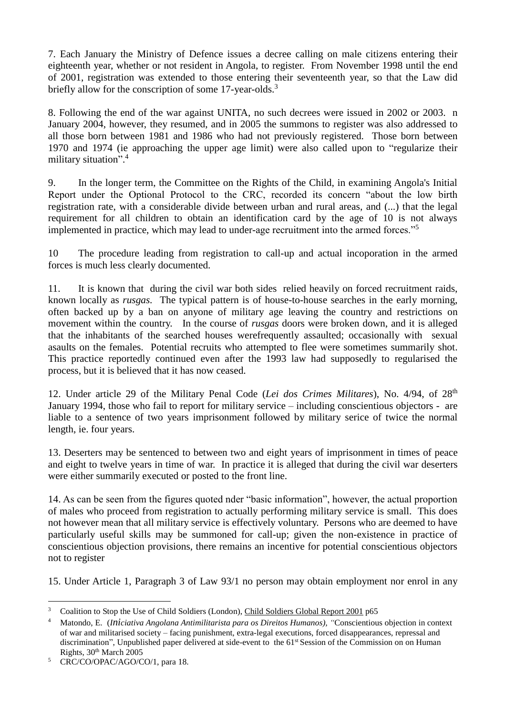7. Each January the Ministry of Defence issues a decree calling on male citizens entering their eighteenth year, whether or not resident in Angola, to register. From November 1998 until the end of 2001, registration was extended to those entering their seventeenth year, so that the Law did briefly allow for the conscription of some 17-year-olds.<sup>3</sup>

8. Following the end of the war against UNITA, no such decrees were issued in 2002 or 2003. n January 2004, however, they resumed, and in 2005 the summons to register was also addressed to all those born between 1981 and 1986 who had not previously registered. Those born between 1970 and 1974 (ie approaching the upper age limit) were also called upon to "regularize their military situation". 4

9. In the longer term, the Committee on the Rights of the Child, in examining Angola's Initial Report under the Optional Protocol to the CRC, recorded its concern "about the low birth registration rate, with a considerable divide between urban and rural areas, and (...) that the legal requirement for all children to obtain an identification card by the age of 10 is not always implemented in practice, which may lead to under-age recruitment into the armed forces."<sup>5</sup>

10 The procedure leading from registration to call-up and actual incoporation in the armed forces is much less clearly documented.

11. It is known that during the civil war both sides relied heavily on forced recruitment raids, known locally as *rusgas.* The typical pattern is of house-to-house searches in the early morning, often backed up by a ban on anyone of military age leaving the country and restrictions on movement within the country. In the course of *rusgas* doors were broken down, and it is alleged that the inhabitants of the searched houses werefrequently assaulted; occasionally with sexual asaults on the females. Potential recruits who attempted to flee were sometimes summarily shot. This practice reportedly continued even after the 1993 law had supposedly to regularised the process, but it is believed that it has now ceased.

12. Under article 29 of the Military Penal Code (*Lei dos Crimes Militares*), No. 4/94, of 28th January 1994, those who fail to report for military service – including conscientious objectors - are liable to a sentence of two years imprisonment followed by military serice of twice the normal length, ie. four years.

13. Deserters may be sentenced to between two and eight years of imprisonment in times of peace and eight to twelve years in time of war. In practice it is alleged that during the civil war deserters were either summarily executed or posted to the front line.

14. As can be seen from the figures quoted nder "basic information", however, the actual proportion of males who proceed from registration to actually performing military service is small. This does not however mean that all military service is effectively voluntary. Persons who are deemed to have particularly useful skills may be summoned for call-up; given the non-existence in practice of conscientious objection provisions, there remains an incentive for potential conscientious objectors not to register

15. Under Article 1, Paragraph 3 of Law 93/1 no person may obtain employment nor enrol in any

<u>.</u>

<sup>3</sup> Coalition to Stop the Use of Child Soldiers (London), Child Soldiers Global Report 2001 p65

<sup>4</sup> Matondo, E. (*Iniciativa Angolana Antimilitarista para os Direitos Humanos), "*Conscientious objection in context of war and militarised society – facing punishment, extra-legal executions, forced disappearances, repressal and discrimination", Unpublished paper delivered at side-event to the 61<sup>st</sup> Session of the Commission on on Human Rights, 30th March 2005

<sup>5</sup> CRC/CO/OPAC/AGO/CO/1, para 18.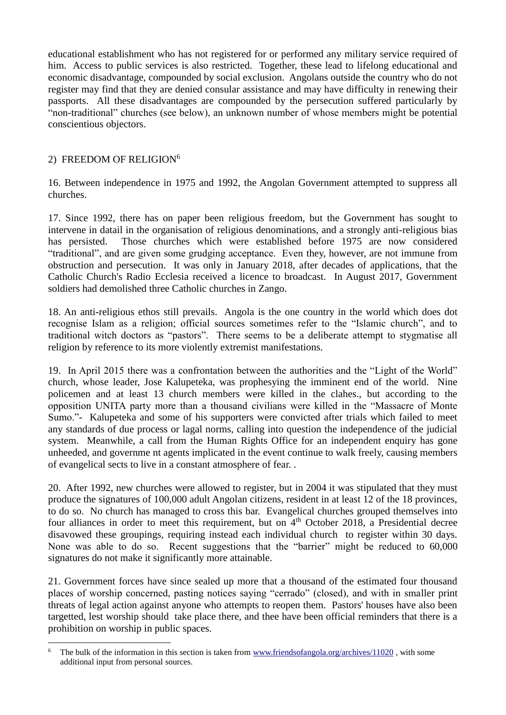educational establishment who has not registered for or performed any military service required of him. Access to public services is also restricted. Together, these lead to lifelong educational and economic disadvantage, compounded by social exclusion. Angolans outside the country who do not register may find that they are denied consular assistance and may have difficulty in renewing their passports. All these disadvantages are compounded by the persecution suffered particularly by "non-traditional" churches (see below), an unknown number of whose members might be potential conscientious objectors.

### 2) FREEDOM OF RELIGION<sup>6</sup>

<u>.</u>

16. Between independence in 1975 and 1992, the Angolan Government attempted to suppress all churches.

17. Since 1992, there has on paper been religious freedom, but the Government has sought to intervene in datail in the organisation of religious denominations, and a strongly anti-religious bias has persisted. Those churches which were established before 1975 are now considered "traditional", and are given some grudging acceptance. Even they, however, are not immune from obstruction and persecution. It was only in January 2018, after decades of applications, that the Catholic Church's Radio Ecclesia received a licence to broadcast. In August 2017, Government soldiers had demolished three Catholic churches in Zango.

18. An anti-religious ethos still prevails. Angola is the one country in the world which does dot recognise Islam as a religion; official sources sometimes refer to the "Islamic church", and to traditional witch doctors as "pastors". There seems to be a deliberate attempt to stygmatise all religion by reference to its more violently extremist manifestations.

19. In April 2015 there was a confrontation between the authorities and the "Light of the World" church, whose leader, Jose Kalupeteka, was prophesying the imminent end of the world. Nine policemen and at least 13 church members were killed in the clahes., but according to the opposition UNITA party more than a thousand civilians were killed in the "Massacre of Monte Sumo."- Kalupeteka and some of his supporters were convicted after trials which failed to meet any standards of due process or lagal norms, calling into question the independence of the judicial system. Meanwhile, a call from the Human Rights Office for an independent enquiry has gone unheeded, and governme nt agents implicated in the event continue to walk freely, causing members of evangelical sects to live in a constant atmosphere of fear. .

20. After 1992, new churches were allowed to register, but in 2004 it was stipulated that they must produce the signatures of 100,000 adult Angolan citizens, resident in at least 12 of the 18 provinces, to do so. No church has managed to cross this bar. Evangelical churches grouped themselves into four alliances in order to meet this requirement, but on  $4<sup>th</sup>$  October 2018, a Presidential decree disavowed these groupings, requiring instead each individual church to register within 30 days. None was able to do so. Recent suggestions that the "barrier" might be reduced to 60,000 signatures do not make it significantly more attainable.

21. Government forces have since sealed up more that a thousand of the estimated four thousand places of worship concerned, pasting notices saying "cerrado" (closed), and with in smaller print threats of legal action against anyone who attempts to reopen them. Pastors' houses have also been targetted, lest worship should take place there, and thee have been official reminders that there is a prohibition on worship in public spaces.

<sup>&</sup>lt;sup>6</sup> The bulk of the information in this section is taken from [www.friendsofangola.org/archives/11020](http://www.friendsofangola.org/archives/11020), with some additional input from personal sources.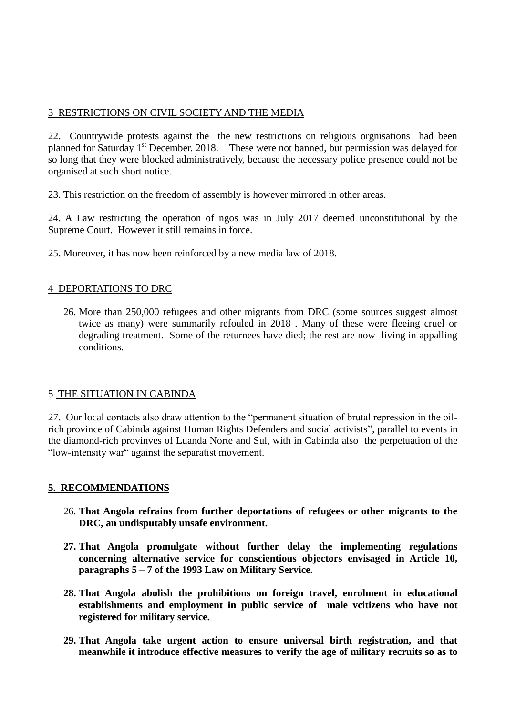## 3 RESTRICTIONS ON CIVIL SOCIETY AND THE MEDIA

22. Countrywide protests against the the new restrictions on religious orgnisations had been planned for Saturday 1st December. 2018. These were not banned, but permission was delayed for so long that they were blocked administratively, because the necessary police presence could not be organised at such short notice.

23. This restriction on the freedom of assembly is however mirrored in other areas.

24. A Law restricting the operation of ngos was in July 2017 deemed unconstitutional by the Supreme Court. However it still remains in force.

25. Moreover, it has now been reinforced by a new media law of 2018.

#### 4 DEPORTATIONS TO DRC

26. More than 250,000 refugees and other migrants from DRC (some sources suggest almost twice as many) were summarily refouled in 2018 . Many of these were fleeing cruel or degrading treatment. Some of the returnees have died; the rest are now living in appalling conditions.

### 5 THE SITUATION IN CABINDA

27. Our local contacts also draw attention to the "permanent situation of brutal repression in the oilrich province of Cabinda against Human Rights Defenders and social activists", parallel to events in the diamond-rich provinves of Luanda Norte and Sul, with in Cabinda also the perpetuation of the "low-intensity war" against the separatist movement.

#### **5. RECOMMENDATIONS**

- 26. **That Angola refrains from further deportations of refugees or other migrants to the DRC, an undisputably unsafe environment.**
- **27. That Angola promulgate without further delay the implementing regulations concerning alternative service for conscientious objectors envisaged in Article 10, paragraphs 5 – 7 of the 1993 Law on Military Service.**
- **28. That Angola abolish the prohibitions on foreign travel, enrolment in educational establishments and employment in public service of male vcitizens who have not registered for military service.**
- **29. That Angola take urgent action to ensure universal birth registration, and that meanwhile it introduce effective measures to verify the age of military recruits so as to**